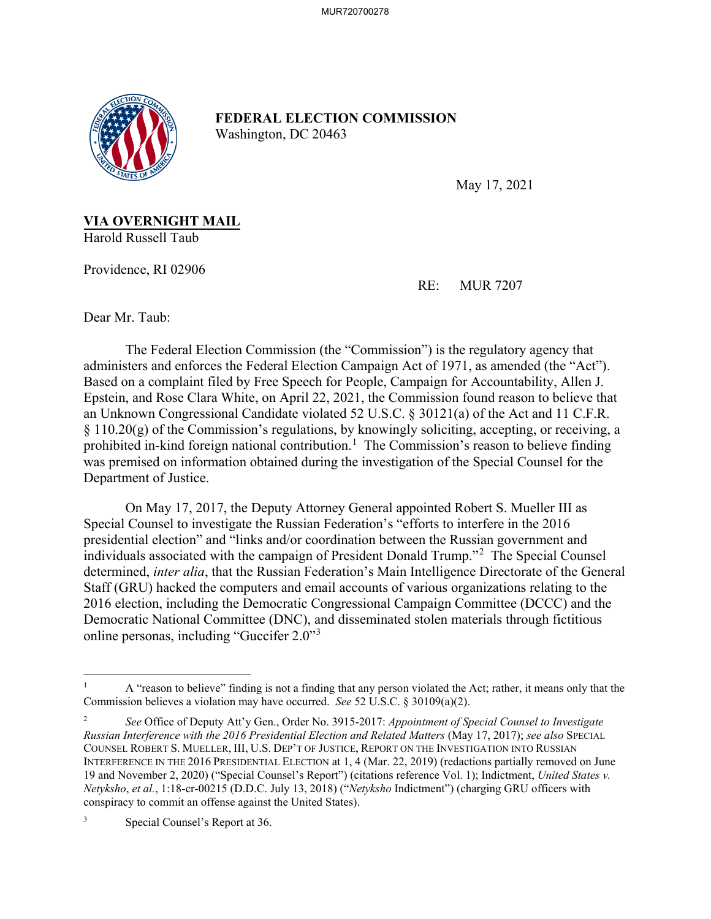

**FEDERAL ELECTION COMMISSION** Washington, DC 20463

May 17, 2021

**VIA OVERNIGHT MAIL** Harold Russell Taub

Providence, RI 02906

RE: MUR 7207

Dear Mr. Taub:

The Federal Election Commission (the "Commission") is the regulatory agency that administers and enforces the Federal Election Campaign Act of 1971, as amended (the "Act"). Based on a complaint filed by Free Speech for People, Campaign for Accountability, Allen J. Epstein, and Rose Clara White, on April 22, 2021, the Commission found reason to believe that an Unknown Congressional Candidate violated 52 U.S.C. § 30121(a) of the Act and 11 C.F.R. § 110.20(g) of the Commission's regulations, by knowingly soliciting, accepting, or receiving, a prohibited in-kind foreign national contribution.<sup>1</sup> The Commission's reason to believe finding was premised on information obtained during the investigation of the Special Counsel for the Department of Justice.

On May 17, 2017, the Deputy Attorney General appointed Robert S. Mueller III as Special Counsel to investigate the Russian Federation's "efforts to interfere in the 2016 presidential election" and "links and/or coordination between the Russian government and individuals associated with the campaign of President Donald Trump."<sup>2</sup> The Special Counsel determined, *inter alia*, that the Russian Federation's Main Intelligence Directorate of the General Staff (GRU) hacked the computers and email accounts of various organizations relating to the 2016 election, including the Democratic Congressional Campaign Committee (DCCC) and the Democratic National Committee (DNC), and disseminated stolen materials through fictitious online personas, including "Guccifer 2.0"<sup>3</sup>

<sup>1</sup> A "reason to believe" finding is not a finding that any person violated the Act; rather, it means only that the Commission believes a violation may have occurred. *See* 52 U.S.C. § 30109(a)(2).

<sup>2</sup> *See* Office of Deputy Att'y Gen., Order No. 3915-2017: *Appointment of Special Counsel to Investigate Russian Interference with the 2016 Presidential Election and Related Matters* (May 17, 2017); *see also* SPECIAL COUNSEL ROBERT S. MUELLER, III, U.S. DEP'T OF JUSTICE, REPORT ON THE INVESTIGATION INTO RUSSIAN INTERFERENCE IN THE 2016 PRESIDENTIAL ELECTION at 1, 4 (Mar. 22, 2019) (redactions partially removed on June 19 and November 2, 2020) ("Special Counsel's Report") (citations reference Vol. 1); Indictment, *United States v. Netyksho*, *et al.*, 1:18-cr-00215 (D.D.C. July 13, 2018) ("*Netyksho* Indictment") (charging GRU officers with conspiracy to commit an offense against the United States).

Special Counsel's Report at 36.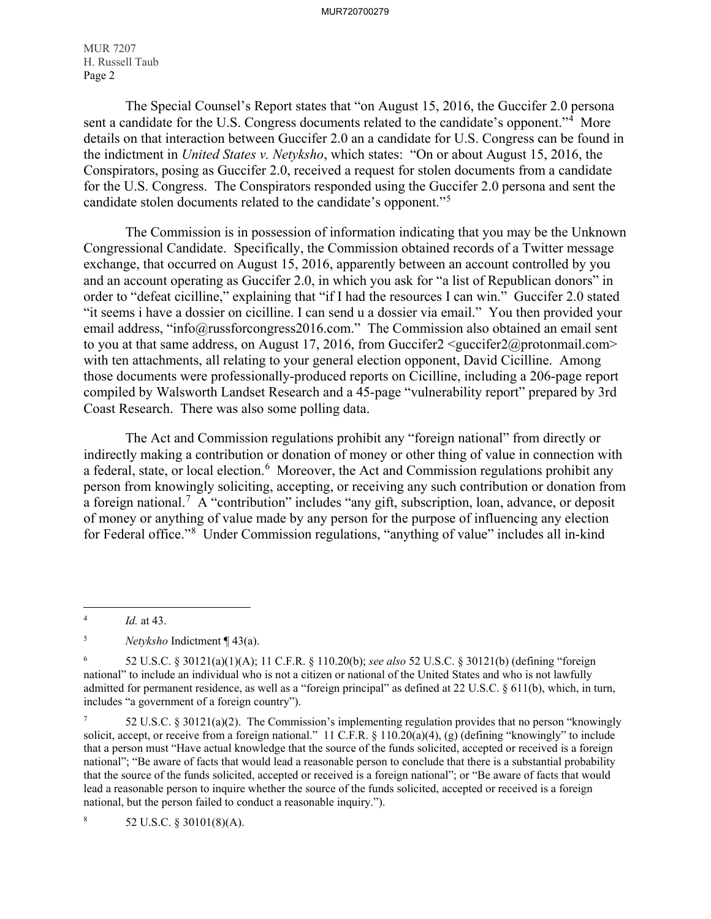MUR 7207 H. Russell Taub Page 2

The Special Counsel's Report states that "on August 15, 2016, the Guccifer 2.0 persona sent a candidate for the U.S. Congress documents related to the candidate's opponent."<sup>4</sup> More details on that interaction between Guccifer 2.0 an a candidate for U.S. Congress can be found in the indictment in *United States v. Netyksho*, which states: "On or about August 15, 2016, the Conspirators, posing as Guccifer 2.0, received a request for stolen documents from a candidate for the U.S. Congress. The Conspirators responded using the Guccifer 2.0 persona and sent the candidate stolen documents related to the candidate's opponent."<sup>5</sup>

The Commission is in possession of information indicating that you may be the Unknown Congressional Candidate. Specifically, the Commission obtained records of a Twitter message exchange, that occurred on August 15, 2016, apparently between an account controlled by you and an account operating as Guccifer 2.0, in which you ask for "a list of Republican donors" in order to "defeat cicilline," explaining that "if I had the resources I can win." Guccifer 2.0 stated "it seems i have a dossier on cicilline. I can send u a dossier via email." You then provided your email address, "info@russforcongress2016.com." The Commission also obtained an email sent to you at that same address, on August 17, 2016, from Guccifer2  $\leq$ guccifer2@protonmail.com> with ten attachments, all relating to your general election opponent, David Cicilline. Among those documents were professionally-produced reports on Cicilline, including a 206-page report compiled by Walsworth Landset Research and a 45-page "vulnerability report" prepared by 3rd Coast Research. There was also some polling data.

The Act and Commission regulations prohibit any "foreign national" from directly or indirectly making a contribution or donation of money or other thing of value in connection with a federal, state, or local election.<sup>6</sup> Moreover, the Act and Commission regulations prohibit any person from knowingly soliciting, accepting, or receiving any such contribution or donation from a foreign national.<sup>7</sup> A "contribution" includes "any gift, subscription, loan, advance, or deposit of money or anything of value made by any person for the purpose of influencing any election for Federal office."<sup>8</sup> Under Commission regulations, "anything of value" includes all in-kind

 $\overline{a}$ 

8 52 U.S.C. § 30101(8)(A).

<sup>4</sup> *Id.* at 43.

<sup>5</sup> *Netyksho* Indictment ¶ 43(a).

<sup>6</sup> 52 U.S.C. § 30121(a)(1)(A); 11 C.F.R. § 110.20(b); *see also* 52 U.S.C. § 30121(b) (defining "foreign national" to include an individual who is not a citizen or national of the United States and who is not lawfully admitted for permanent residence, as well as a "foreign principal" as defined at 22 U.S.C. § 611(b), which, in turn, includes "a government of a foreign country").

<sup>7</sup> 52 U.S.C. § 30121(a)(2). The Commission's implementing regulation provides that no person "knowingly solicit, accept, or receive from a foreign national." 11 C.F.R. § 110.20(a)(4), (g) (defining "knowingly" to include that a person must "Have actual knowledge that the source of the funds solicited, accepted or received is a foreign national"; "Be aware of facts that would lead a reasonable person to conclude that there is a substantial probability that the source of the funds solicited, accepted or received is a foreign national"; or "Be aware of facts that would lead a reasonable person to inquire whether the source of the funds solicited, accepted or received is a foreign national, but the person failed to conduct a reasonable inquiry.").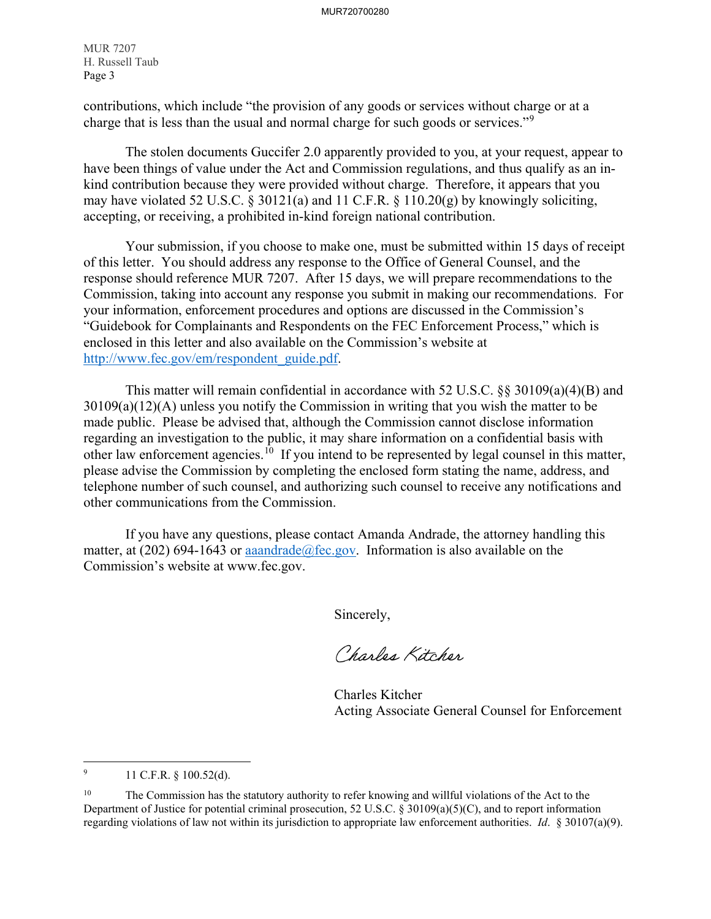MUR 7207 H. Russell Taub Page 3

contributions, which include "the provision of any goods or services without charge or at a charge that is less than the usual and normal charge for such goods or services."<sup>9</sup>

The stolen documents Guccifer 2.0 apparently provided to you, at your request, appear to have been things of value under the Act and Commission regulations, and thus qualify as an inkind contribution because they were provided without charge. Therefore, it appears that you may have violated 52 U.S.C. § 30121(a) and 11 C.F.R. § 110.20(g) by knowingly soliciting, accepting, or receiving, a prohibited in-kind foreign national contribution.

 Your submission, if you choose to make one, must be submitted within 15 days of receipt of this letter. You should address any response to the Office of General Counsel, and the response should reference MUR 7207. After 15 days, we will prepare recommendations to the Commission, taking into account any response you submit in making our recommendations. For your information, enforcement procedures and options are discussed in the Commission's "Guidebook for Complainants and Respondents on the FEC Enforcement Process," which is enclosed in this letter and also available on the Commission's website at http://www.fec.gov/em/respondent\_guide.pdf.

 This matter will remain confidential in accordance with 52 U.S.C. §§ 30109(a)(4)(B) and 30109(a)(12)(A) unless you notify the Commission in writing that you wish the matter to be made public. Please be advised that, although the Commission cannot disclose information regarding an investigation to the public, it may share information on a confidential basis with other law enforcement agencies.10 If you intend to be represented by legal counsel in this matter, please advise the Commission by completing the enclosed form stating the name, address, and telephone number of such counsel, and authorizing such counsel to receive any notifications and other communications from the Commission.

 If you have any questions, please contact Amanda Andrade, the attorney handling this matter, at (202) 694-1643 or aaandrade@fec.gov. Information is also available on the Commission's website at www.fec.gov.

Sincerely,

Charles Kitcher

 Charles Kitcher Acting Associate General Counsel for Enforcement

<sup>-&</sup>lt;br>9 11 C.F.R. § 100.52(d).

<sup>&</sup>lt;sup>10</sup> The Commission has the statutory authority to refer knowing and willful violations of the Act to the Department of Justice for potential criminal prosecution, 52 U.S.C. § 30109(a)(5)(C), and to report information regarding violations of law not within its jurisdiction to appropriate law enforcement authorities. *Id*. § 30107(a)(9).